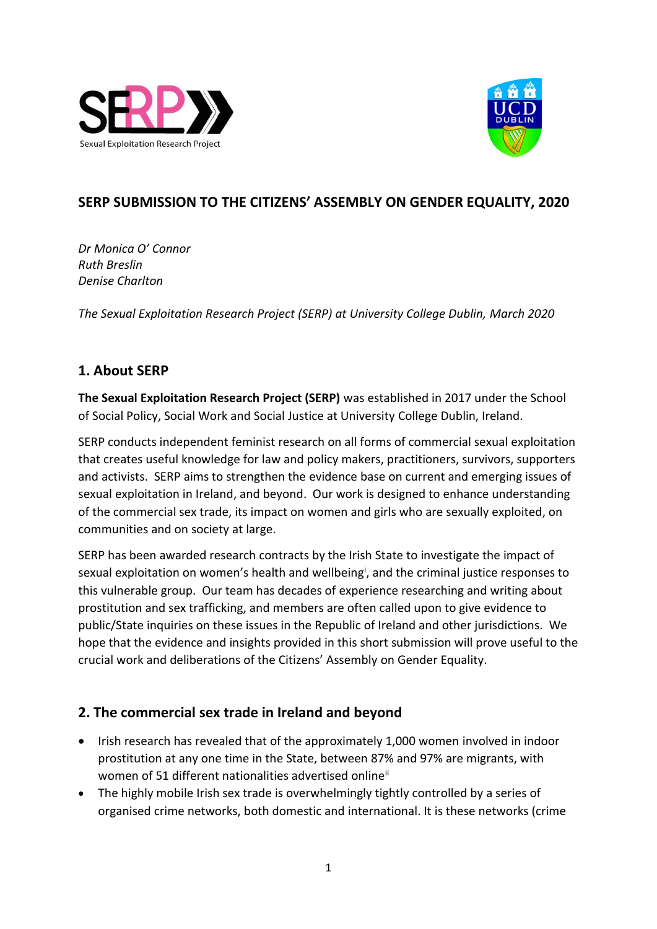



# **SERP SUBMISSION TO THE CITIZENS' ASSEMBLY ON GENDER EQUALITY, 2020**

*Dr Monica O' Connor Ruth Breslin Denise Charlton*

*The Sexual Exploitation Research Project (SERP) at University College Dublin, March 2020*

#### **1. About SERP**

**The Sexual Exploitation Research Project (SERP)** was established in 2017 under the School of Social Policy, Social Work and Social Justice at University College Dublin, Ireland.

SERP conducts independent feminist research on all forms of commercial sexual exploitation that creates useful knowledge for law and policy makers, practitioners, survivors, supporters and activists. SERP aims to strengthen the evidence base on current and emerging issues of sexual exploitation in Ireland, and beyond. Our work is designed to enhance understanding of the commercial sex trade, its impact on women and girls who are sexually exploited, on communities and on society at large.

SERP has been awarded research contracts by the Irish State to investigate the impact of sexual exploitation on women's health and wellbeing<sup>i</sup>, and the criminal justice responses to this vulnerable group. Our team has decades of experience researching and writing about prostitution and sex trafficking, and members are often called upon to give evidence to public/State inquiries on these issues in the Republic of Ireland and other jurisdictions. We hope that the evidence and insights provided in this short submission will prove useful to the crucial work and deliberations of the Citizens' Assembly on Gender Equality.

### **2. The commercial sex trade in Ireland and beyond**

- Irish research has revealed that of the approximately 1,000 women involved in indoor prostitution at any one time in the State, between 87% and 97% are migrants, with women of 51 different nationalities advertised online<sup>ii</sup>
- The highly mobile Irish sex trade is overwhelmingly tightly controlled by a series of organised crime networks, both domestic and international. It is these networks (crime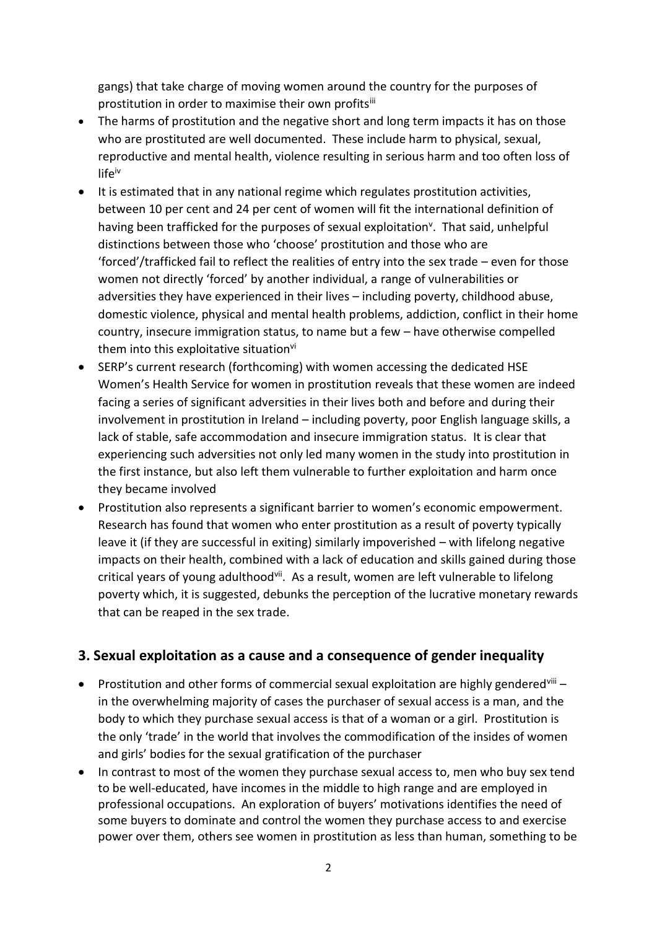gangs) that take charge of moving women around the country for the purposes of prostitution in order to maximise their own profitsiii

- The harms of prostitution and the negative short and long term impacts it has on those who are prostituted are well documented. These include harm to physical, sexual, reproductive and mental health, violence resulting in serious harm and too often loss of lifeiv
- It is estimated that in any national regime which regulates prostitution activities, between 10 per cent and 24 per cent of women will fit the international definition of having been trafficked for the purposes of sexual exploitation<sup>v</sup>. That said, unhelpful distinctions between those who 'choose' prostitution and those who are 'forced'/trafficked fail to reflect the realities of entry into the sex trade – even for those women not directly 'forced' by another individual, a range of vulnerabilities or adversities they have experienced in their lives – including poverty, childhood abuse, domestic violence, physical and mental health problems, addiction, conflict in their home country, insecure immigration status, to name but a few – have otherwise compelled them into this exploitative situation<sup>vi</sup>
- SERP's current research (forthcoming) with women accessing the dedicated HSE Women's Health Service for women in prostitution reveals that these women are indeed facing a series of significant adversities in their lives both and before and during their involvement in prostitution in Ireland – including poverty, poor English language skills, a lack of stable, safe accommodation and insecure immigration status. It is clear that experiencing such adversities not only led many women in the study into prostitution in the first instance, but also left them vulnerable to further exploitation and harm once they became involved
- Prostitution also represents a significant barrier to women's economic empowerment. Research has found that women who enter prostitution as a result of poverty typically leave it (if they are successful in exiting) similarly impoverished – with lifelong negative impacts on their health, combined with a lack of education and skills gained during those critical years of young adulthoodvii. As a result, women are left vulnerable to lifelong poverty which, it is suggested, debunks the perception of the lucrative monetary rewards that can be reaped in the sex trade.

#### **3. Sexual exploitation as a cause and a consequence of gender inequality**

- Prostitution and other forms of commercial sexual exploitation are highly gendered  $\overline{u}$  = in the overwhelming majority of cases the purchaser of sexual access is a man, and the body to which they purchase sexual access is that of a woman or a girl. Prostitution is the only 'trade' in the world that involves the commodification of the insides of women and girls' bodies for the sexual gratification of the purchaser
- In contrast to most of the women they purchase sexual access to, men who buy sex tend to be well-educated, have incomes in the middle to high range and are employed in professional occupations. An exploration of buyers' motivations identifies the need of some buyers to dominate and control the women they purchase access to and exercise power over them, others see women in prostitution as less than human, something to be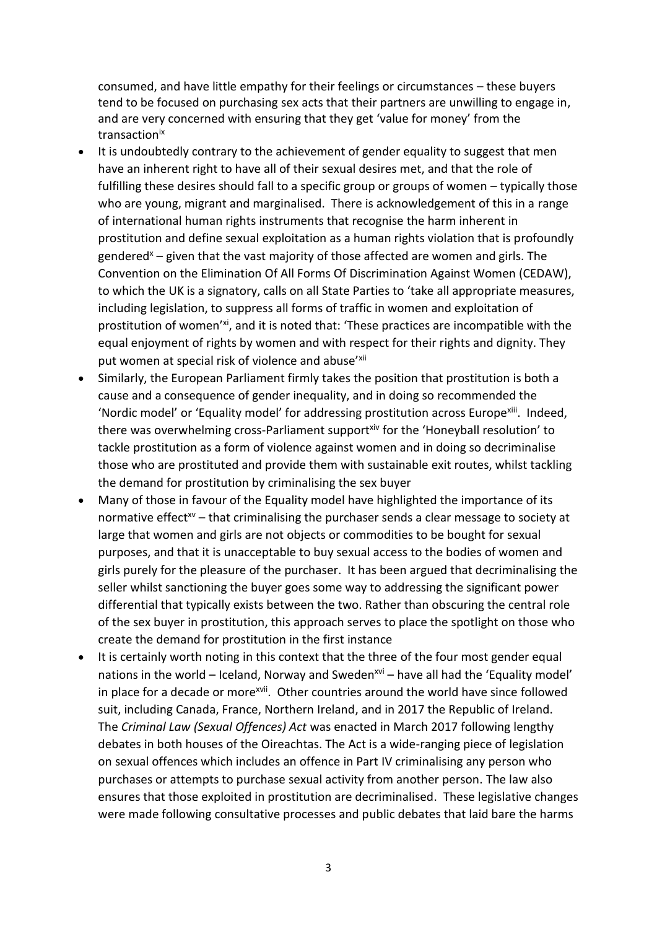consumed, and have little empathy for their feelings or circumstances – these buyers tend to be focused on purchasing sex acts that their partners are unwilling to engage in, and are very concerned with ensuring that they get 'value for money' from the transaction<sup>ix</sup>

- It is undoubtedly contrary to the achievement of gender equality to suggest that men have an inherent right to have all of their sexual desires met, and that the role of fulfilling these desires should fall to a specific group or groups of women – typically those who are young, migrant and marginalised. There is acknowledgement of this in a range of international human rights instruments that recognise the harm inherent in prostitution and define sexual exploitation as a human rights violation that is profoundly gendered<sup>x</sup> – given that the vast majority of those affected are women and girls. The Convention on the Elimination Of All Forms Of Discrimination Against Women (CEDAW), to which the UK is a signatory, calls on all State Parties to 'take all appropriate measures, including legislation, to suppress all forms of traffic in women and exploitation of prostitution of women'xi, and it is noted that: 'These practices are incompatible with the equal enjoyment of rights by women and with respect for their rights and dignity. They put women at special risk of violence and abuse'xii
- Similarly, the European Parliament firmly takes the position that prostitution is both a cause and a consequence of gender inequality, and in doing so recommended the 'Nordic model' or 'Equality model' for addressing prostitution across Europe<sup>xiii</sup>. Indeed, there was overwhelming cross-Parliament support<sup>xiv</sup> for the 'Honeyball resolution' to tackle prostitution as a form of violence against women and in doing so decriminalise those who are prostituted and provide them with sustainable exit routes, whilst tackling the demand for prostitution by criminalising the sex buyer
- Many of those in favour of the Equality model have highlighted the importance of its normative effect<sup> $x$ </sup> – that criminalising the purchaser sends a clear message to society at large that women and girls are not objects or commodities to be bought for sexual purposes, and that it is unacceptable to buy sexual access to the bodies of women and girls purely for the pleasure of the purchaser. It has been argued that decriminalising the seller whilst sanctioning the buyer goes some way to addressing the significant power differential that typically exists between the two. Rather than obscuring the central role of the sex buyer in prostitution, this approach serves to place the spotlight on those who create the demand for prostitution in the first instance
- It is certainly worth noting in this context that the three of the four most gender equal nations in the world – Iceland, Norway and Sweden<sup>xvi</sup> – have all had the 'Equality model' in place for a decade or more<sup>xvii</sup>. Other countries around the world have since followed suit, including Canada, France, Northern Ireland, and in 2017 the Republic of Ireland. The *Criminal Law (Sexual Offences) Act* was enacted in March 2017 following lengthy debates in both houses of the Oireachtas. The Act is a wide-ranging piece of legislation on sexual offences which includes an offence in Part IV criminalising any person who purchases or attempts to purchase sexual activity from another person. The law also ensures that those exploited in prostitution are decriminalised. These legislative changes were made following consultative processes and public debates that laid bare the harms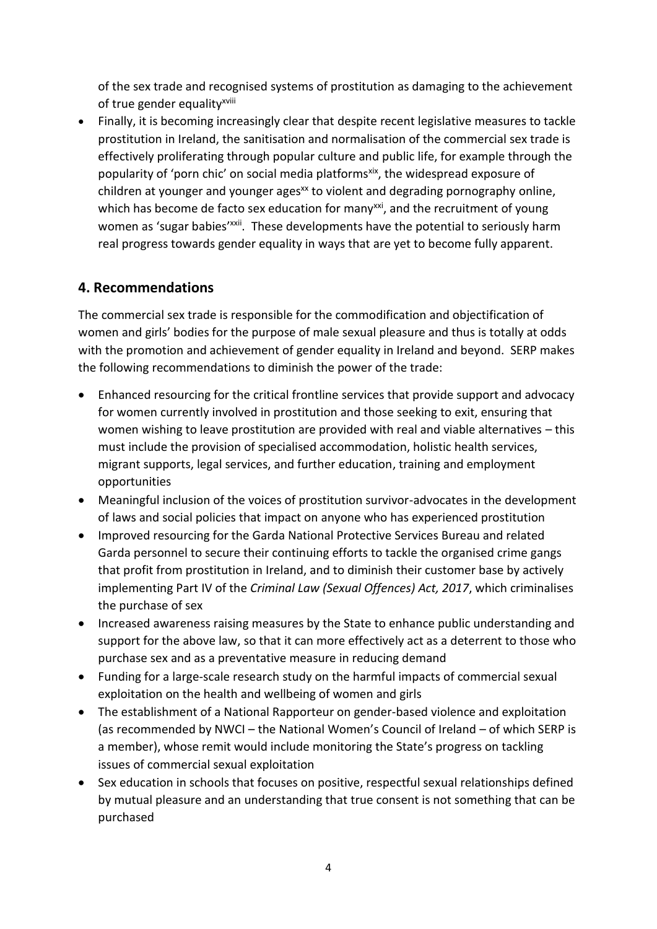of the sex trade and recognised systems of prostitution as damaging to the achievement of true gender equality<sup>xviii</sup>

• Finally, it is becoming increasingly clear that despite recent legislative measures to tackle prostitution in Ireland, the sanitisation and normalisation of the commercial sex trade is effectively proliferating through popular culture and public life, for example through the popularity of 'porn chic' on social media platforms<sup>xix</sup>, the widespread exposure of  $children$  at younger and younger ages<sup> $x$ </sup> to violent and degrading pornography online, which has become de facto sex education for many<sup>xxi</sup>, and the recruitment of young women as 'sugar babies'<sup>xxii</sup>. These developments have the potential to seriously harm real progress towards gender equality in ways that are yet to become fully apparent.

## **4. Recommendations**

The commercial sex trade is responsible for the commodification and objectification of women and girls' bodies for the purpose of male sexual pleasure and thus is totally at odds with the promotion and achievement of gender equality in Ireland and beyond. SERP makes the following recommendations to diminish the power of the trade:

- Enhanced resourcing for the critical frontline services that provide support and advocacy for women currently involved in prostitution and those seeking to exit, ensuring that women wishing to leave prostitution are provided with real and viable alternatives – this must include the provision of specialised accommodation, holistic health services, migrant supports, legal services, and further education, training and employment opportunities
- Meaningful inclusion of the voices of prostitution survivor-advocates in the development of laws and social policies that impact on anyone who has experienced prostitution
- Improved resourcing for the Garda National Protective Services Bureau and related Garda personnel to secure their continuing efforts to tackle the organised crime gangs that profit from prostitution in Ireland, and to diminish their customer base by actively implementing Part IV of the *Criminal Law (Sexual Offences) Act, 2017*, which criminalises the purchase of sex
- Increased awareness raising measures by the State to enhance public understanding and support for the above law, so that it can more effectively act as a deterrent to those who purchase sex and as a preventative measure in reducing demand
- Funding for a large-scale research study on the harmful impacts of commercial sexual exploitation on the health and wellbeing of women and girls
- The establishment of a National Rapporteur on gender-based violence and exploitation (as recommended by NWCI – the National Women's Council of Ireland – of which SERP is a member), whose remit would include monitoring the State's progress on tackling issues of commercial sexual exploitation
- Sex education in schools that focuses on positive, respectful sexual relationships defined by mutual pleasure and an understanding that true consent is not something that can be purchased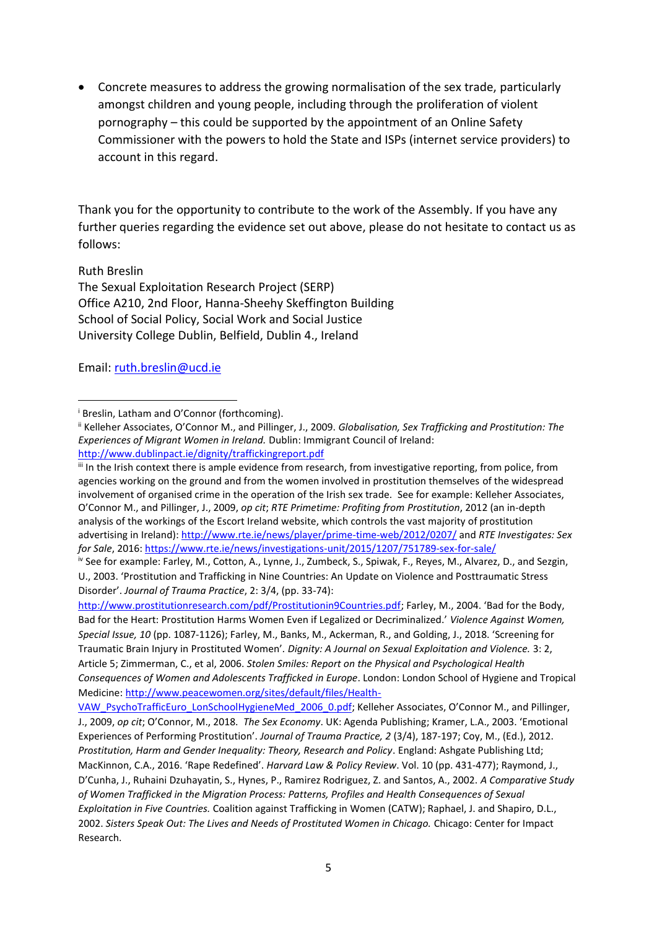• Concrete measures to address the growing normalisation of the sex trade, particularly amongst children and young people, including through the proliferation of violent pornography – this could be supported by the appointment of an Online Safety Commissioner with the powers to hold the State and ISPs (internet service providers) to account in this regard.

Thank you for the opportunity to contribute to the work of the Assembly. If you have any further queries regarding the evidence set out above, please do not hesitate to contact us as follows:

Ruth Breslin The Sexual Exploitation Research Project (SERP) Office A210, 2nd Floor, Hanna-Sheehy Skeffington Building School of Social Policy, Social Work and Social Justice University College Dublin, Belfield, Dublin 4., Ireland

Email: [ruth.breslin@ucd.ie](mailto:ruth.breslin@ucd.ie)

iii In the Irish context there is ample evidence from research, from investigative reporting, from police, from agencies working on the ground and from the women involved in prostitution themselves of the widespread involvement of organised crime in the operation of the Irish sex trade. See for example: Kelleher Associates, O'Connor M., and Pillinger, J., 2009, *op cit*; *RTE Primetime: Profiting from Prostitution*, 2012 (an in-depth analysis of the workings of the Escort Ireland website, which controls the vast majority of prostitution advertising in Ireland)[: http://www.rte.ie/news/player/prime-time-web/2012/0207/](http://www.rte.ie/news/player/prime-time-web/2012/0207/) and *RTE Investigates: Sex for Sale*, 2016[: https://www.rte.ie/news/investigations-unit/2015/1207/751789-sex-for-sale/](https://www.rte.ie/news/investigations-unit/2015/1207/751789-sex-for-sale/)

[http://www.prostitutionresearch.com/pdf/Prostitutionin9Countries.pdf;](http://www.prostitutionresearch.com/pdf/Prostitutionin9Countries.pdf) Farley, M., 2004. 'Bad for the Body, Bad for the Heart: Prostitution Harms Women Even if Legalized or Decriminalized.' *Violence Against Women, Special Issue, 10* (pp. 1087-1126); Farley, M., Banks, M., Ackerman, R., and Golding, J., 2018. 'Screening for Traumatic Brain Injury in Prostituted Women'*. Dignity: A Journal on Sexual Exploitation and Violence.* 3: 2, Article 5; Zimmerman, C., et al, 2006. *Stolen Smiles: Report on the Physical and Psychological Health Consequences of Women and Adolescents Trafficked in Europe*. London: London School of Hygiene and Tropical Medicine[: http://www.peacewomen.org/sites/default/files/Health-](http://www.peacewomen.org/sites/default/files/Health-VAW_PsychoTrafficEuro_LonSchoolHygieneMed_2006_0.pdf)

[VAW\\_PsychoTrafficEuro\\_LonSchoolHygieneMed\\_2006\\_0.pdf;](http://www.peacewomen.org/sites/default/files/Health-VAW_PsychoTrafficEuro_LonSchoolHygieneMed_2006_0.pdf) Kelleher Associates, O'Connor M., and Pillinger, J., 2009, *op cit*; O'Connor, M., 2018. *The Sex Economy*. UK: Agenda Publishing; Kramer, L.A., 2003. 'Emotional Experiences of Performing Prostitution'. *Journal of Trauma Practice, 2* (3/4), 187-197; Coy, M., (Ed.), 2012. *Prostitution, Harm and Gender Inequality: Theory, Research and Policy*. England: Ashgate Publishing Ltd; MacKinnon, C.A., 2016. 'Rape Redefined'. *Harvard Law & Policy Review*. Vol. 10 (pp. 431-477); Raymond, J., D'Cunha, J., Ruhaini Dzuhayatin, S., Hynes, P., Ramirez Rodriguez, Z. and Santos, A., 2002. *A Comparative Study of Women Trafficked in the Migration Process: Patterns, Profiles and Health Consequences of Sexual Exploitation in Five Countries.* Coalition against Trafficking in Women (CATW); Raphael, J. and Shapiro, D.L., 2002. *Sisters Speak Out: The Lives and Needs of Prostituted Women in Chicago.* Chicago: Center for Impact Research.

<sup>&</sup>lt;sup>i</sup> Breslin, Latham and O'Connor (forthcoming).

ii Kelleher Associates, O'Connor M., and Pillinger, J., 2009. *Globalisation, Sex Trafficking and Prostitution: The Experiences of Migrant Women in Ireland.* Dublin: Immigrant Council of Ireland: <http://www.dublinpact.ie/dignity/traffickingreport.pdf>

iv See for example: Farley, M., Cotton, A., Lynne, J., Zumbeck, S., Spiwak, F., Reyes, M., Alvarez, D., and Sezgin, U., 2003. 'Prostitution and Trafficking in Nine Countries: An Update on Violence and Posttraumatic Stress Disorder'. *Journal of Trauma Practice*, 2: 3/4, (pp. 33-74):